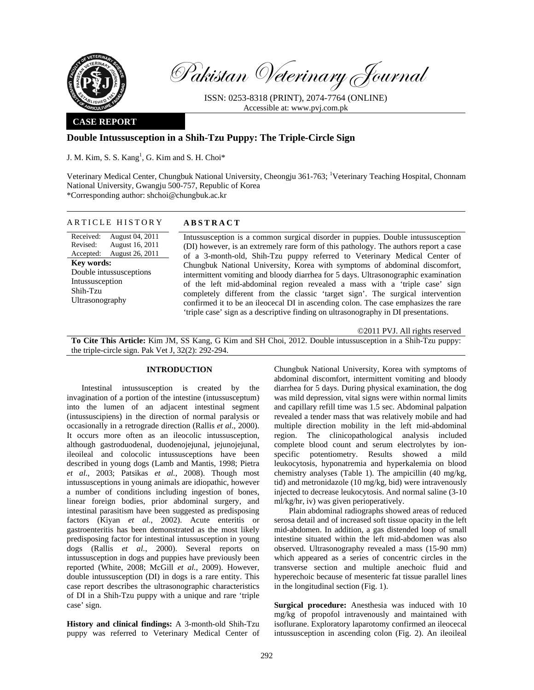

Pakistan Veterinary Journal

ISSN: 0253-8318 (PRINT), 2074-7764 (ONLINE) Accessible at: www.pvj.com.pk

## **CASE REPORT**

# **Double Intussusception in a Shih-Tzu Puppy: The Triple-Circle Sign**

J. M. Kim, S. S. Kang<sup>1</sup>, G. Kim and S. H. Choi $*$ 

Veterinary Medical Center, Chungbuk National University, Cheongju 361-763; <sup>1</sup>Veterinary Teaching Hospital, Chonnam National University, Gwangju 500-757, Republic of Korea \*Corresponding author: shchoi@chungbuk.ac.kr

### ARTICLE HISTORY **ABSTRACT**

Received: Revised: Accepted: August 26, 2011 August 04, 2011 August 16, 2011 **Key words:**  Double intussusceptions Intussusception Shih-Tzu Ultrasonography

Intussusception is a common surgical disorder in puppies. Double intussusception (DI) however, is an extremely rare form of this pathology. The authors report a case of a 3-month-old, Shih-Tzu puppy referred to Veterinary Medical Center of Chungbuk National University, Korea with symptoms of abdominal discomfort, intermittent vomiting and bloody diarrhea for 5 days. Ultrasonographic examination of the left mid-abdominal region revealed a mass with a 'triple case' sign completely different from the classic 'target sign'. The surgical intervention confirmed it to be an ileocecal DI in ascending colon. The case emphasizes the rare 'triple case' sign as a descriptive finding on ultrasonography in DI presentations.

©2011 PVJ. All rights reserved

**To Cite This Article:** Kim JM, SS Kang, G Kim and SH Choi, 2012. Double intussusception in a Shih-Tzu puppy: the triple-circle sign. Pak Vet J, 32(2): 292-294.

## **INTRODUCTION**

Intestinal intussusception is created by the invagination of a portion of the intestine (intussusceptum) into the lumen of an adjacent intestinal segment (intussuscipiens) in the direction of normal paralysis or occasionally in a retrograde direction (Rallis *et al.*, 2000). It occurs more often as an ileocolic intussusception, although gastroduodenal, duodenojejunal, jejunojejunal, ileoileal and colocolic intussusceptions have been described in young dogs (Lamb and Mantis, 1998; Pietra *et al.*, 2003; Patsikas *et al.*, 2008). Though most intussusceptions in young animals are idiopathic, however a number of conditions including ingestion of bones, linear foreign bodies, prior abdominal surgery, and intestinal parasitism have been suggested as predisposing factors (Kiyan *et al.*, 2002). Acute enteritis or gastroenteritis has been demonstrated as the most likely predisposing factor for intestinal intussusception in young dogs (Rallis *et al.*, 2000). Several reports on intussusception in dogs and puppies have previously been reported (White, 2008; McGill *et al.*, 2009). However, double intussusception (DI) in dogs is a rare entity. This case report describes the ultrasonographic characteristics of DI in a Shih-Tzu puppy with a unique and rare 'triple case' sign.

**History and clinical findings:** A 3-month-old Shih-Tzu puppy was referred to Veterinary Medical Center of Chungbuk National University, Korea with symptoms of abdominal discomfort, intermittent vomiting and bloody diarrhea for 5 days. During physical examination, the dog was mild depression, vital signs were within normal limits and capillary refill time was 1.5 sec. Abdominal palpation revealed a tender mass that was relatively mobile and had multiple direction mobility in the left mid-abdominal region. The clinicopathological analysis included complete blood count and serum electrolytes by ionspecific potentiometry. Results showed a mild leukocytosis, hyponatremia and hyperkalemia on blood chemistry analyses (Table 1). The ampicillin (40 mg/kg, tid) and metronidazole (10 mg/kg, bid) were intravenously injected to decrease leukocytosis. And normal saline (3-10 ml/kg/hr, iv) was given perioperatively.

Plain abdominal radiographs showed areas of reduced serosa detail and of increased soft tissue opacity in the left mid-abdomen. In addition, a gas distended loop of small intestine situated within the left mid-abdomen was also observed. Ultrasonography revealed a mass (15-90 mm) which appeared as a series of concentric circles in the transverse section and multiple anechoic fluid and hyperechoic because of mesenteric fat tissue parallel lines in the longitudinal section (Fig. 1).

**Surgical procedure:** Anesthesia was induced with 10 mg/kg of propofol intravenously and maintained with isoflurane. Exploratory laparotomy confirmed an ileocecal intussusception in ascending colon (Fig. 2). An ileoileal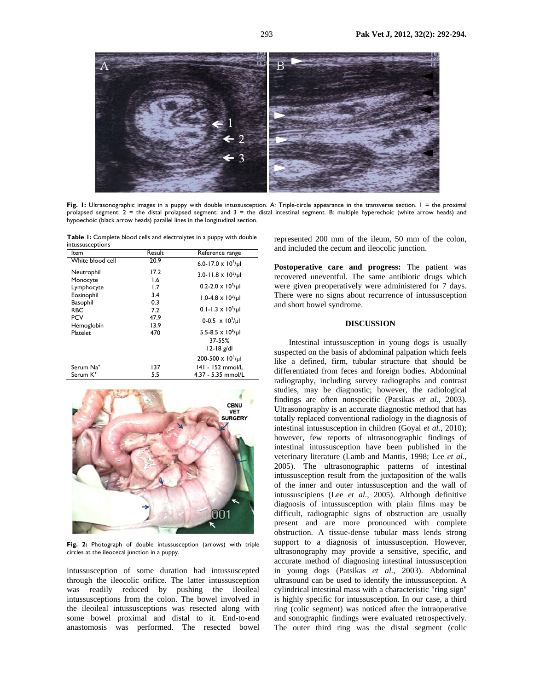

Fig. 1: Ultrasonographic images in a puppy with double intussusception. A: Triple-circle appearance in the transverse section. I = the proximal prolapsed segment;  $2 =$  the distal prolapsed segment; and  $3 =$  the distal intestinal segment. B: multiple hyperechoic (white arrow heads) and hypoechoic (black arrow heads) parallel lines in the longitudinal section.

**Table 1:** Complete blood cells and electrolytes in a puppy with double intussusceptions

| Result | Reference range                                                |
|--------|----------------------------------------------------------------|
| 20.9   | 6.0-17.0 x $10^3$ /µl                                          |
| 17.2   | 3.0-11.8 x $10^3$ /µl                                          |
| 1.6    |                                                                |
| 1.7    | $0.2 - 2.0 \times 10^3/\mu$                                    |
| 3.4    | $1.0 - 4.8 \times 10^3/\mu$                                    |
| 7.2    | $0.1 - 1.3 \times 10^3/\mu$                                    |
| 47.9   | $0-0.5 \times 10^{3}/\mu$                                      |
| 470    | 5.5-8.5 $\times$ 10 <sup>6</sup> /µl<br>37-55%<br>$12-18$ g/dl |
|        | $200 - 500 \times 10^3/\mu$                                    |
| 137    | 141 - 152 mmol/L                                               |
| 5.5    | $4.37 - 5.35$ mmol/L                                           |
|        | 0.3<br>13.9                                                    |



**Fig. 2:** Photograph of double intussusception (arrows) with triple circles at the ileocecal junction in a puppy.

intussusception of some duration had intussuscepted through the ileocolic orifice. The latter intussusception was readily reduced by pushing the ileoileal intussusceptions from the colon. The bowel involved in the ileoileal intussusceptions was resected along with some bowel proximal and distal to it. End-to-end anastomosis was performed. The resected bowel represented 200 mm of the ileum, 50 mm of the colon, and included the cecum and ileocolic junction.

**Postoperative care and progress:** The patient was recovered uneventful. The same antibiotic drugs which were given preoperatively were administered for 7 days. There were no signs about recurrence of intussusception and short bowel syndrome.

### **DISCUSSION**

Intestinal intussusception in young dogs is usually suspected on the basis of abdominal palpation which feels like a defined, firm, tubular structure that should be differentiated from feces and foreign bodies. Abdominal radiography, including survey radiographs and contrast studies, may be diagnostic; however, the radiological findings are often nonspecific (Patsikas *et al.*, 2003). Ultrasonography is an accurate diagnostic method that has totally replaced conventional radiology in the diagnosis of intestinal intussusception in children (Goyal *et al.*, 2010); however, few reports of ultrasonographic findings of intestinal intussusception have been published in the veterinary literature (Lamb and Mantis, 1998; Lee *et al.*, 2005). The ultrasonographic patterns of intestinal intussusception result from the juxtaposition of the walls of the inner and outer intussusception and the wall of intussuscipiens (Lee *et al.*, 2005). Although definitive diagnosis of intussusception with plain films may be difficult, radiographic signs of obstruction are usually present and are more pronounced with complete obstruction. A tissue-dense tubular mass lends strong support to a diagnosis of intussusception. However, ultrasonography may provide a sensitive, specific, and accurate method of diagnosing intestinal intussusception in young dogs (Patsikas *et al.*, 2003). Abdominal ultrasound can be used to identify the intussusception. A cylindrical intestinal mass with a characteristic "ring sign'' is highly specific for intussusception. In our case, a third ring (colic segment) was noticed after the intraoperative and sonographic findings were evaluated retrospectively. The outer third ring was the distal segment (colic